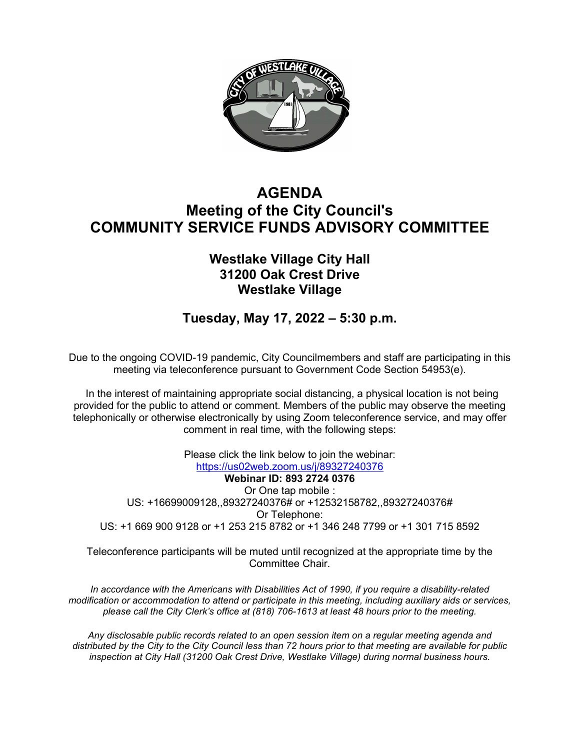

# **AGENDA Meeting of the City Council's COMMUNITY SERVICE FUNDS ADVISORY COMMITTEE**

## **Westlake Village City Hall 31200 Oak Crest Drive Westlake Village**

**Tuesday, May 17, 2022 – 5:30 p.m.**

Due to the ongoing COVID-19 pandemic, City Councilmembers and staff are participating in this meeting via teleconference pursuant to Government Code Section 54953(e).

In the interest of maintaining appropriate social distancing, a physical location is not being provided for the public to attend or comment. Members of the public may observe the meeting telephonically or otherwise electronically by using Zoom teleconference service, and may offer comment in real time, with the following steps:

Please click the link below to join the webinar: <https://us02web.zoom.us/j/89327240376> **Webinar ID: 893 2724 0376** Or One tap mobile : US: +16699009128,,89327240376# or +12532158782,,89327240376# Or Telephone: US: +1 669 900 9128 or +1 253 215 8782 or +1 346 248 7799 or +1 301 715 8592

Teleconference participants will be muted until recognized at the appropriate time by the Committee Chair.

*In accordance with the Americans with Disabilities Act of 1990, if you require a disability-related modification or accommodation to attend or participate in this meeting, including auxiliary aids or services, please call the City Clerk's office at (818) 706-1613 at least 48 hours prior to the meeting.*

*Any disclosable public records related to an open session item on a regular meeting agenda and distributed by the City to the City Council less than 72 hours prior to that meeting are available for public inspection at City Hall (31200 Oak Crest Drive, Westlake Village) during normal business hours.*